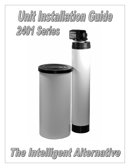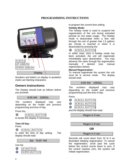# **PROGRAMMING INSTRUCTIONS**



*Numbers and letters on display in quotation marks are flashing characters.* 

# **Owners Instructions:**

The Display should look as follows before you proceed.

# 8:00 AM 1000GL

*The numbers displayed may vary depending on the model and previous programming and time of day.*

Press the;

|  | SCROLL BUTTON |
|--|---------------|
|--|---------------|

to locate this display if necessary.

# **Time Of Day:**

Press

 $\odot$ *SCROLL BUTTON*

to enter the time of day setting. The display should read:

Set "8:00" AM

### Use the



to program the current time setting.

### **Holiday Mode:**

The holiday mode is used to suspend the regeneration of the unit during extended periods on non water usage, The Holiday mode is deactivated when a flow rate through the unit of greater that 1.5 gallons per minute is reached or when it is deactivated by pressing the:

#### $\odot$ *SCROLL BUTTON*

In either case, once a holiday mode has been activated, the unit will regenerate immediately upon deactivation. You may advance the valve through the regeneration manually if desired (see manual regeneration below).

### **Manual Regeneration:**

To manual regenerate the system the unit must be in service mode. The display should read:

8:00 AM 1000GL

*The numbers displayed may vary depending on the model and previous programming and the time of day.* 

## Press

| <i>SCROLL BUTTON</i> |
|----------------------|
|                      |

| OLL BUTTOM |
|------------|
|            |

*SCROLL BUTTON* ⊝

and the display should now read:

Regen in 9 sec

# Regen in 8 sec

# **OR**

# Regen in 0 sec

Seconds will count down from 10 to 0 as illustrated initiating regeneration. To cancel the regeneration, scroll past the cycle before the control counts down to zero. If the control reaches zero, the system will initiate regeneration.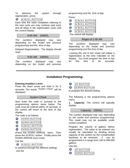To advance the system through regeneration, press:

#### *SCROLL BUTTON*  $\odot$

Each time the valve completes indexing to the next cycle you may continue past each and all steps in the regeneration cycle until the control display:

# 8:00 AM 1000GL

*The numbers displayed may vary depending on the model and previous programming and the time of day.* 

Delayed Regeneration: The display should read:

### 8:00 AM 1000GL

*The numbers displayed may vary depending on the model and previous*  *programming and the time of day.* 

Press:

| <b>SCROLL BUTTON</b>           |
|--------------------------------|
| <b>SCROLL BUTTON</b>           |
| <b>SCROLL BUTTON</b>           |
| <b>SCROLL BUTTON</b>           |
| وجاجره المروا المروان المستوين |

The control will display:

## Regen at 2 00 AM

*The numbers displayed may vary depending on the model and previous programming and the time of day* 

Leaving the unit in this mode will initiate a regeneration at the time indicated on the display. You must program the time of day for this time to be accurate.

# **Installation Programming:**

### **Entering Installers Level:**

Press the down arrow and hold in for 5 seconds. The words "System Check" will be displayed.

### System Check

Now enter the code to proceed to the programming options menu below. The code must be entered within 10 seconds, or the control will return to the time of day display.

The code is as follows,

- $\bullet$ *DOWN BUTTON*
- $\bullet$ *DOWN BUTTON*
- $\boldsymbol{\Theta}$ *SCROLL BUTTON*
- *DOWN BUTTON*

{Press the *DOWN ARROW twice*. Then press the *SCROLL* button. Finally press the DOWN ARROW once more}

Use the

*SCROLL BUTTON*

to advance through the different settings. Use the

| P BUTT.<br>11. |
|----------------|
| VN BUT"        |

to program the desired setting.

The following is the programming options menu.

**1. Capacity:** The control will typically display:

Capacity: 1000GL

*The number displayed may vary depending on the model and previous programming. This mode may not be available under certain conditions* 

Program the volume of gallons before regeneration, The value to be entered can usually be calculated by dividing actual capacity of the system by the compensated hardness to be removed. It can be programmed in a range from 100 to 999,990 gallons.

Use the;

- $\bullet$ *UP BUTTON*
- $\bullet$ *DOWN BUTTON*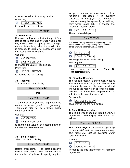to enter the value of capacity required. Press the;

*SCROLL BUTTON*

to move to the nest setting.

### Reset Flow? "NO"

## **2. Reset flow:**

Displays No. If yes is selected the peak flow rate is set to zero and average volume per day is set to 25% of capacity. This setting is entered immediately when the scroll button is pressed. Its usually not necessary to use this setting on initial start-up.

Use the;





to change the value of this setting. Press the:

*SCROLL BUTTON*

to move to the next setting.

### **3a. Reserve:**

The unit should now display:

Rsrv "Variable"

**OR** 

# Rsrv 200GL "Fxd"

*The number displayed may vary depending on the model and previous programming. This mode may not be available under certain conditions* 

Use the;

*UP BUTTON*   $\bullet$ 

 $\bullet$ *DOWN BUTTON* 

to change the value of this setting between variable and fixed reserves.

# **3a. Fixed Reserve***:*

The control must display:

Rsrv 200GL "Fxd"

Before proceeding. The default reserve level is 200 gallons. The reserve value is the number of gallons of capacity required to operate during one days usage. In a residential application it is typically calculated by multiplying the number of occupants using the system by an arbitrary daily water usage {65} To change the amount of reserve, press

 $\odot$ *SCROLL BUTTON*

The unit should display:

Rsrv "200"GL

*The number displayed may vary depending on the model and previous programming. This mode may not be available under certain conditions.* 

*UP BUTTON DOWN BUTTON* 

to change the value of this setting. Pressing the:

*SCROLL BUTTON*

again moves you to **4. Time Of Regeneration** below .

# **3b. Variable Reserve:**

The variable reserve is automatically set at 25% of capacity + 75 gallons. This feature automatically monitors the water used and fine tunes the reserve on an ongoing basis. selected or immediate regeneration is selected in the manufacture mode.

Pressing the:

*SCROLL BUTTON*

again moves you the next setting.

# **4. Time Of Regeneration:**

This is the time of the day that the unit will regenerate. The display should look as follows:

Regen @ "2:00 AM"

*The number displayed may vary depending on the model and previous programming. This mode may not be available under certain conditions* 

.Use the;

 $\bullet$ *UP BUTTON* 

 $\bullet$ *DOWN BUTTON* 

to change the time that the unit will normally regenerate.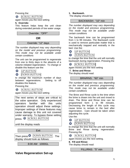Pressing the:

*SCROLL BUTTON*  $\odot$ 

again moves you the next setting

# **5. Override:**

This feature helps keep the unit clean during extended periods of low water usage.

Override: "OFF"

# **OR**

# Override: "12" days

*The number displayed may vary depending on the model and previous programming. This mode may not be available under certain conditions* 

The unit can be programmed to regenerate from one to thirty days in the absents of a volume initiated regeneration. To change or disable this feature use the:

- $\bullet$ *UP BUTTON*
- $\bullet$ *DOWN BUTTON*

to change the maximum number of days between regenerations. Setting to off disables this feature.

Pressing the:

*SCROLL BUTTON*  $\odot$ 

again moves you the next setting

The next series of steps are critical to the valve operation. Only experienced operators familiar with this units operation should adjust these settings. Improper settings of these features may cause damage to this unit not covered under warranty. To bypass these setting press. *SCROLL BUTTON* 

until the display reads



# **Valve Regeneration Set-up**

**1. Backwash.** 

The display should be**:**

## BACKWASH: "10" min

*The number displayed may vary depending on the model and previous programming. This mode may not be available under certain conditions* 

The backwash time can be programmed from 1 to 99 minutes. The Backwash cycle is used to remove particulate matter that is mechanically trapped and restratify in the bed. Use the:

- $\bullet$ *UP BUTTON*
- $\bullet$ *DOWN BUTTON*

to change the time that the unit will normally backwash during regeneration. Pressing the

*SCROLL BUTTON*  $\odot$ 

again moves you the next setting

### **7. Brine and Rinse:**

The display should read:

# BRN/RNS: "60" min

*The number displayed may vary depending on the model and previous programming. This mode may not be available under certain conditions* 

The Brine and Rinse cycle is the time when the brine is drawn into the unit and rinsed to drain. The Brine and Rinse time can be programmed form 1 to 99 minutes. Decreasing the length of this cycle may cause brine to remain in the bed after regeneration. Care should be taken when adjusting this cycle.

Use the:

 $\bullet$ *UP BUTTON* 

*DOWN BUTTON* 

to change the time that the unit will normally Brine and Rinse during regeneration. Pressing the:

*SCROLL BUTTON* ◉

again moves you the next setting.

### **8. Fill and Rinse:**

The display should read:

FILL/RNS: "5" min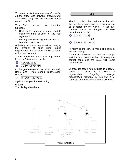*The number displayed may vary depending on the model and previous programming. This mode may not be available under certain conditions* 

This Cycle performs two important functions.

- 1. Controls the amount of water used to make the brine solution for the next regeneration.
- 2. Rinsing and repacking the bed before it is returned to service.

Adjusting this cycle may result in changing the amount of brine used during regeneration and so care should be taken with this adjustment..

The Fill and Rinse time can be programmed from 1 to 99 minutes. Use the:

 $\bullet$ *UP BUTTON*   $\bullet$ *DOWN BUTTON* 

to change the time that the unit will normally Brine and Rinse during regeneration. Pressing the



again moves you the next setting.

## **9. Exit:**

The display should read:

**Exit** 

The Exit cycle is the confirmation that tells the unit the changes you have made are to be accepted by the valve. If you are confident about the changes you have made then press the:



to return to the service mode and burn in the new settings.

If you want to return to the previous settings wait for one minute without touching the control panel and the valve will revert automatically.

*In order for these new settings to become active, it is necessary to execute a regeneration. Stepping through regeneration manually or allowing it to complete automatically will accomplish this.* 

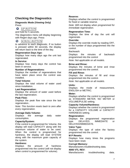# **Checking the Diagnostics**

**Diagnostic Mode (Viewing Only)**  Press

# *UP BUTTON*

and hold for 5 seconds. The diagnostics menu will display beginning with Regen days ago. Press

#### *SCROLL BUTTON*  $\odot$

to advance to each diagnostic. If no button is pressed within 60 seconds, the display will return back to the time of the day.

### **Regeneration Days Ago:**

Displays how many days ago the unit last regenerated.

### **In Service:**

Displays how many days the control has been in service.

### **Number of Regenerations:**

Displays the number of regenerations that have taken place since the control was installed.

### **Total Volume:**

Displays the total volume of water used since installation.

### **Last Regeneration:**

Displays the amount of water used before the last regeneration.

# **Peak Flow:**

Displays the peak flow rate since the last regeneration..

*Note: This function resets back to zero after every regeneration.* 

# **Average Daily Volume:**

Displays the average daily water consumption.

# **Capacity/System:**

If the control is programmed for Volume, the display will read CAPACITY along with the maximum volume of water to be used. When the control is programmed for hardness, the display will read SYSTEM along with the maximum grain capacity of the system.

# **Hardness:**

Displays the amount of hardness programmed into the control (will not display when control is programmed for volume).

## **Reserve:**

Displays whether the control is programmed for fixed or variable reserve.

*Note: Will not display when programmed for immediate regeneration.* 

## **Regeneration Time:**

Displays the time of day the unit will regenerate.

### **Override:**

Displays the override mode by reading OFF, or the number of days programmed into the control.

### Backwash:

Displays the minutes of backwash programmed into the control

*Note: Not applicable on all models.* 

### **Brine and Rinse:**

Displays the minutes of brine and rinse programmed into the control.

### **Fill and Rinse:**

Displays the minutes of fill and rinse programmed into the control.

*Note: Not applicable on all models.* 

# **Units:**

Displays the mode of measurement, ENGLISH or METRIC.

### **Meter:**

Displays whether the control is programmed as STANDARD METER, NO METER or VOLUME/PULSE setting.

### **Capacity Volume/Hardness:**

Displays whether the control is programmed for a CAPACITY VOLUME or CAPACITY HARDNESS setting.

### **Regeneration:**

Displays the programmed regeneration type. DELAYED, IMMEDIATE or DELAYED/IMMEDIATE.

### **Valve Type:**

Displays the type of valve the factory programmed into the control.

### **M P Resets:**

Displays how many times the programs have been reset.

### **Corrupt Memory:**

Manufacturers troubleshooting data.

### **4000 VTL REV:**

Manufacturers troubleshooting data.